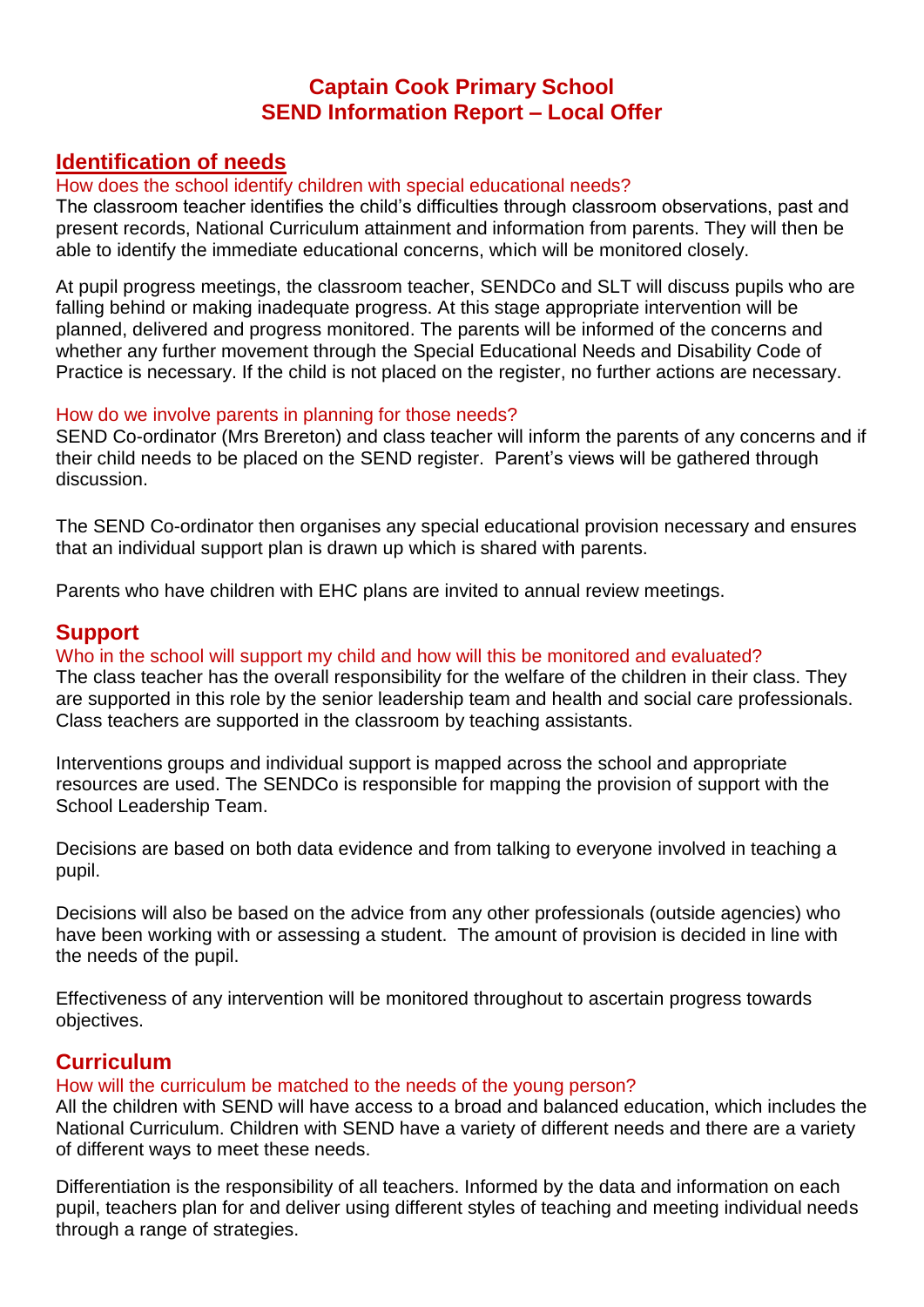# **Captain Cook Primary School SEND Information Report – Local Offer**

# **Identification of needs**

### How does the school identify children with special educational needs?

The classroom teacher identifies the child's difficulties through classroom observations, past and present records, National Curriculum attainment and information from parents. They will then be able to identify the immediate educational concerns, which will be monitored closely.

At pupil progress meetings, the classroom teacher, SENDCo and SLT will discuss pupils who are falling behind or making inadequate progress. At this stage appropriate intervention will be planned, delivered and progress monitored. The parents will be informed of the concerns and whether any further movement through the Special Educational Needs and Disability Code of Practice is necessary. If the child is not placed on the register, no further actions are necessary.

### How do we involve parents in planning for those needs?

SEND Co-ordinator (Mrs Brereton) and class teacher will inform the parents of any concerns and if their child needs to be placed on the SEND register. Parent's views will be gathered through discussion.

The SEND Co-ordinator then organises any special educational provision necessary and ensures that an individual support plan is drawn up which is shared with parents.

Parents who have children with EHC plans are invited to annual review meetings.

## **Support**

### Who in the school will support my child and how will this be monitored and evaluated?

The class teacher has the overall responsibility for the welfare of the children in their class. They are supported in this role by the senior leadership team and health and social care professionals. Class teachers are supported in the classroom by teaching assistants.

Interventions groups and individual support is mapped across the school and appropriate resources are used. The SENDCo is responsible for mapping the provision of support with the School Leadership Team.

Decisions are based on both data evidence and from talking to everyone involved in teaching a pupil.

Decisions will also be based on the advice from any other professionals (outside agencies) who have been working with or assessing a student. The amount of provision is decided in line with the needs of the pupil.

Effectiveness of any intervention will be monitored throughout to ascertain progress towards objectives.

# **Curriculum**

### How will the curriculum be matched to the needs of the young person?

All the children with SEND will have access to a broad and balanced education, which includes the National Curriculum. Children with SEND have a variety of different needs and there are a variety of different ways to meet these needs.

Differentiation is the responsibility of all teachers. Informed by the data and information on each pupil, teachers plan for and deliver using different styles of teaching and meeting individual needs through a range of strategies.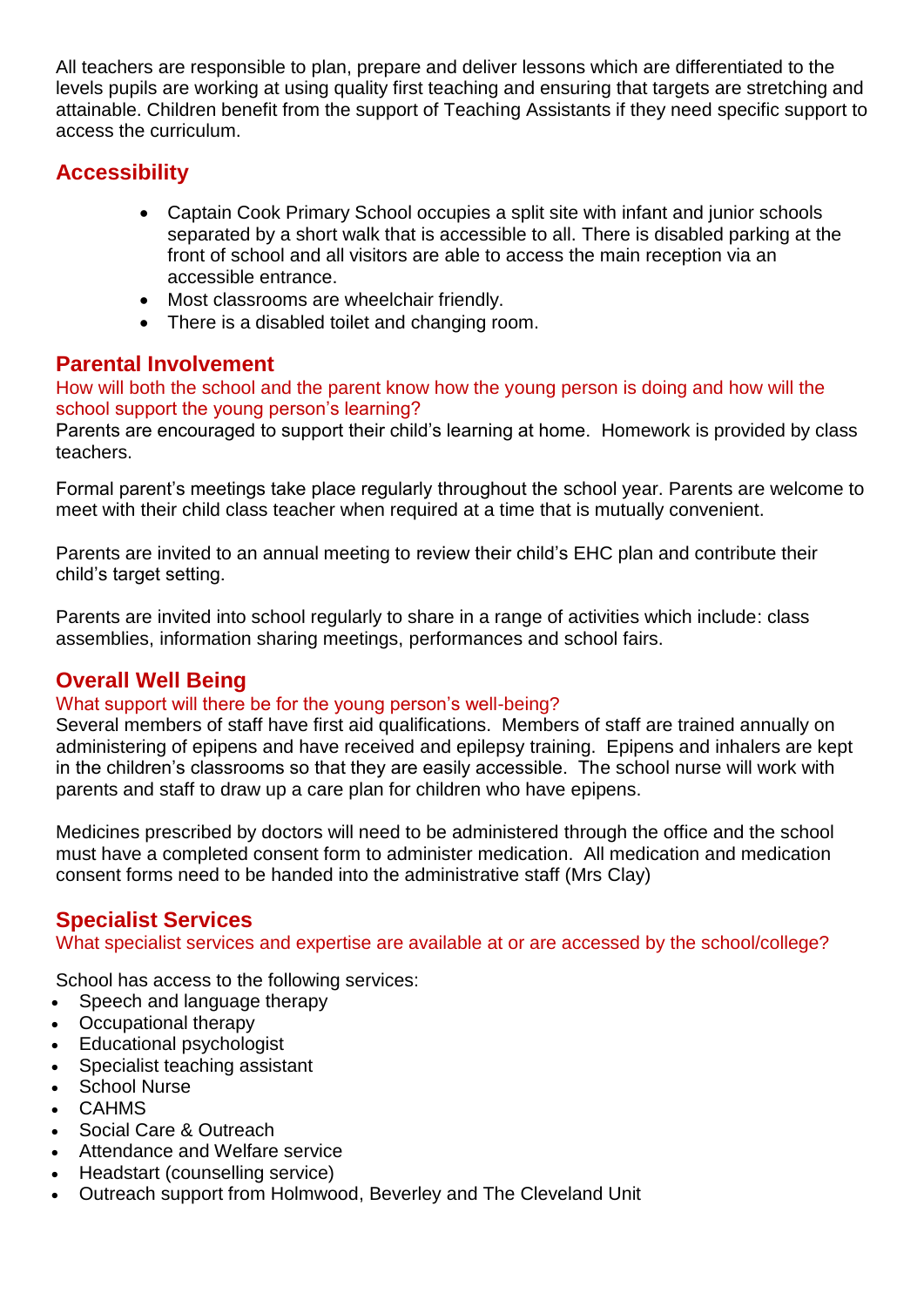All teachers are responsible to plan, prepare and deliver lessons which are differentiated to the levels pupils are working at using quality first teaching and ensuring that targets are stretching and attainable. Children benefit from the support of Teaching Assistants if they need specific support to access the curriculum.

# **Accessibility**

- Captain Cook Primary School occupies a split site with infant and junior schools separated by a short walk that is accessible to all. There is disabled parking at the front of school and all visitors are able to access the main reception via an accessible entrance.
- Most classrooms are wheelchair friendly.
- There is a disabled toilet and changing room.

# **Parental Involvement**

How will both the school and the parent know how the young person is doing and how will the school support the young person's learning?

Parents are encouraged to support their child's learning at home. Homework is provided by class teachers.

Formal parent's meetings take place regularly throughout the school year. Parents are welcome to meet with their child class teacher when required at a time that is mutually convenient.

Parents are invited to an annual meeting to review their child's EHC plan and contribute their child's target setting.

Parents are invited into school regularly to share in a range of activities which include: class assemblies, information sharing meetings, performances and school fairs.

# **Overall Well Being**

## What support will there be for the young person's well-being?

Several members of staff have first aid qualifications. Members of staff are trained annually on administering of epipens and have received and epilepsy training. Epipens and inhalers are kept in the children's classrooms so that they are easily accessible. The school nurse will work with parents and staff to draw up a care plan for children who have epipens.

Medicines prescribed by doctors will need to be administered through the office and the school must have a completed consent form to administer medication. All medication and medication consent forms need to be handed into the administrative staff (Mrs Clay)

# **Specialist Services**

What specialist services and expertise are available at or are accessed by the school/college?

School has access to the following services:

- Speech and language therapy
- Occupational therapy
- Educational psychologist
- Specialist teaching assistant
- School Nurse
- CAHMS
- Social Care & Outreach
- Attendance and Welfare service
- Headstart (counselling service)
- Outreach support from Holmwood, Beverley and The Cleveland Unit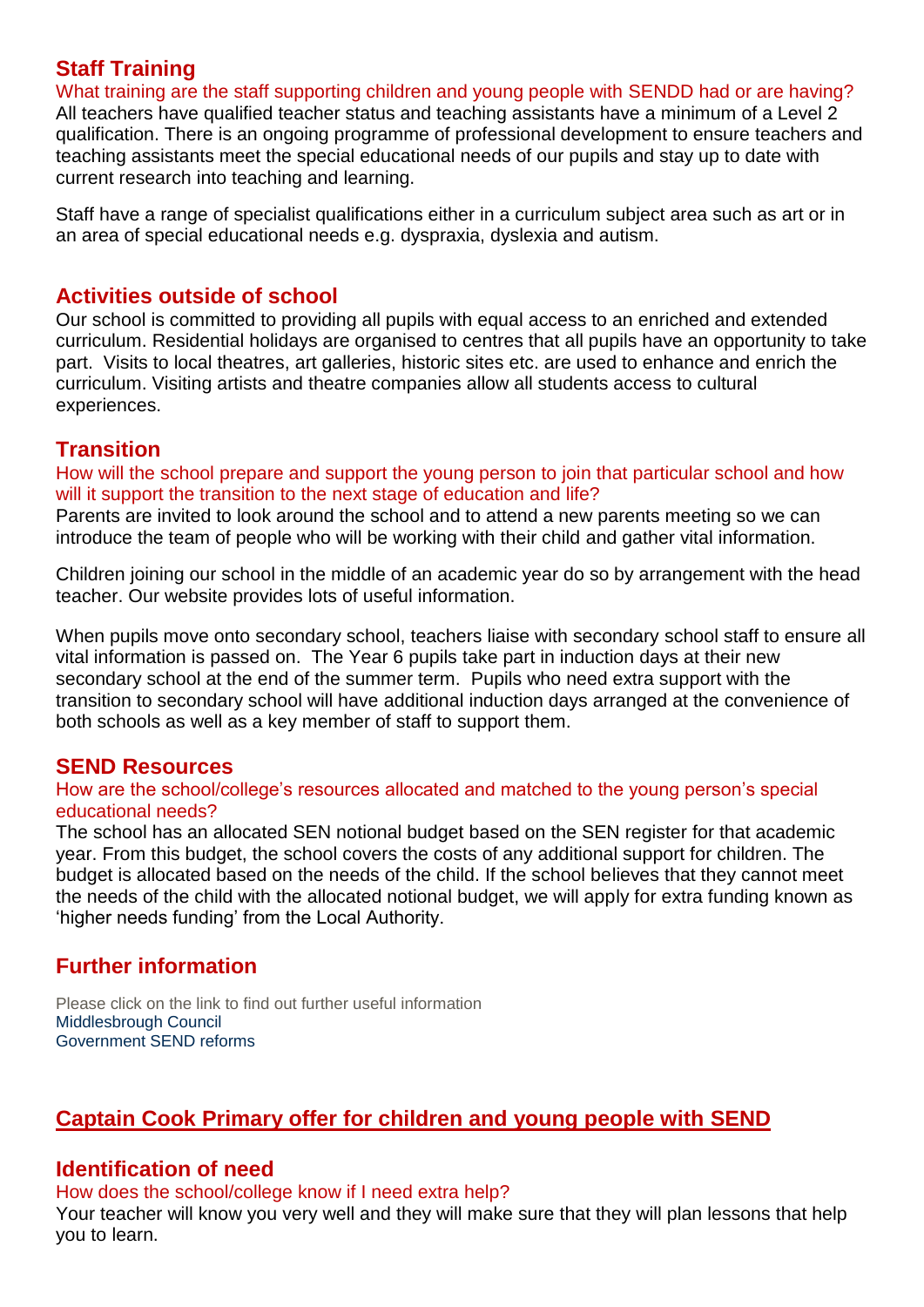# **Staff Training**

What training are the staff supporting children and young people with SENDD had or are having? All teachers have qualified teacher status and teaching assistants have a minimum of a Level 2 qualification. There is an ongoing programme of professional development to ensure teachers and teaching assistants meet the special educational needs of our pupils and stay up to date with current research into teaching and learning.

Staff have a range of specialist qualifications either in a curriculum subject area such as art or in an area of special educational needs e.g. dyspraxia, dyslexia and autism.

## **Activities outside of school**

Our school is committed to providing all pupils with equal access to an enriched and extended curriculum. Residential holidays are organised to centres that all pupils have an opportunity to take part. Visits to local theatres, art galleries, historic sites etc. are used to enhance and enrich the curriculum. Visiting artists and theatre companies allow all students access to cultural experiences.

## **Transition**

How will the school prepare and support the young person to join that particular school and how will it support the transition to the next stage of education and life?

Parents are invited to look around the school and to attend a new parents meeting so we can introduce the team of people who will be working with their child and gather vital information.

Children joining our school in the middle of an academic year do so by arrangement with the head teacher. Our website provides lots of useful information.

When pupils move onto secondary school, teachers liaise with secondary school staff to ensure all vital information is passed on. The Year 6 pupils take part in induction days at their new secondary school at the end of the summer term. Pupils who need extra support with the transition to secondary school will have additional induction days arranged at the convenience of both schools as well as a key member of staff to support them.

## **SEND Resources**

#### How are the school/college's resources allocated and matched to the young person's special educational needs?

The school has an allocated SEN notional budget based on the SEN register for that academic year. From this budget, the school covers the costs of any additional support for children. The budget is allocated based on the needs of the child. If the school believes that they cannot meet the needs of the child with the allocated notional budget, we will apply for extra funding known as 'higher needs funding' from the Local Authority.

# **Further information**

Please click on the link to find out further useful information [Middlesbrough](http://www.middlesbrough.gov.uk/index.aspx?articleid=5166) Council [Government](https://www.gov.uk/government/publications/special-educational-needs-and-disabilities-send-reform-letters) SEND reforms

# **Captain Cook Primary offer for children and young people with SEND**

## **Identification of need**

How does the school/college know if I need extra help?

Your teacher will know you very well and they will make sure that they will plan lessons that help you to learn.